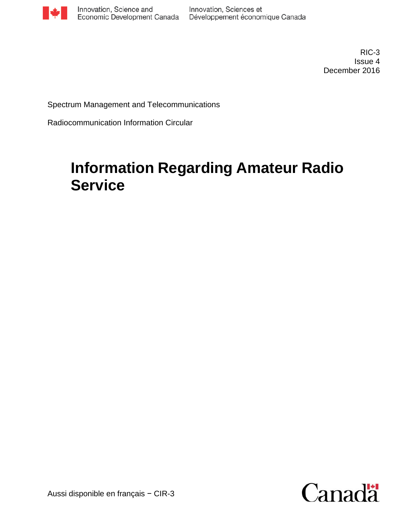

RIC-3 Issue 4 December 2016

Spectrum Management and Telecommunications

Radiocommunication Information Circular

# **Information Regarding Amateur Radio Service**

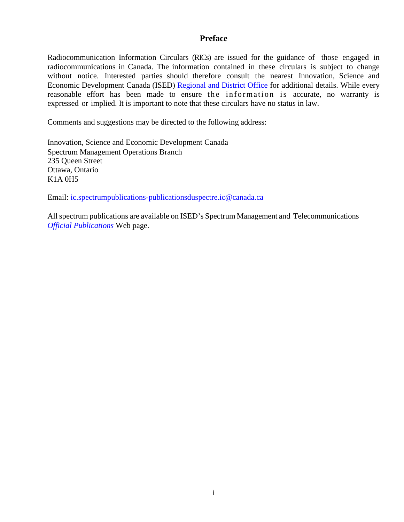#### **Preface**

Radiocommunication Information Circulars (RICs) are issued for the guidance of those engaged in radiocommunications in Canada. The information contained in these circulars is subject to change without notice. Interested parties should therefore consult the nearest Innovation, Science and Economic Development Canada (ISED) [Regional and District Office](http://www.ic.gc.ca/eic/site/smt-gst.nsf/eng/sf01742.html) for additional details. While every reasonable effort has been made to ensure the information is accurate, no warranty is expressed or implied. It is important to note that these circulars have no status in law.

Comments and suggestions may be directed to the following address:

Innovation, Science and Economic Development Canada Spectrum Management Operations Branch 235 Queen Street Ottawa, Ontario K1A 0H5

Email: ic.spectrumpublications-publicationsduspectre.ic@canada.ca

Allspectrum publications are available on ISED's Spectrum Management and Telecommunications *[Official Publications](http://www.ic.gc.ca/eic/site/smt-gst.nsf/eng/h_sf01841.html)* Web page.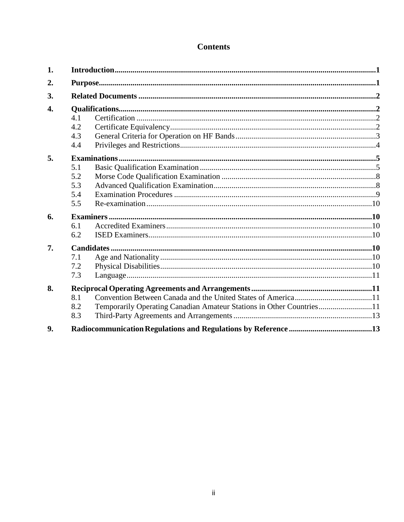# **Contents**

| 1. |     |                                                                      |  |
|----|-----|----------------------------------------------------------------------|--|
| 2. |     |                                                                      |  |
| 3. |     |                                                                      |  |
| 4. |     |                                                                      |  |
|    | 4.1 |                                                                      |  |
|    | 4.2 |                                                                      |  |
|    | 4.3 |                                                                      |  |
|    | 4.4 |                                                                      |  |
| 5. |     |                                                                      |  |
|    | 5.1 |                                                                      |  |
|    | 5.2 |                                                                      |  |
|    | 5.3 |                                                                      |  |
|    | 5.4 |                                                                      |  |
|    | 5.5 |                                                                      |  |
| 6. |     |                                                                      |  |
|    | 6.1 |                                                                      |  |
|    | 6.2 |                                                                      |  |
| 7. |     |                                                                      |  |
|    | 7.1 |                                                                      |  |
|    | 7.2 |                                                                      |  |
|    | 7.3 |                                                                      |  |
| 8. |     |                                                                      |  |
|    | 8.1 |                                                                      |  |
|    | 8.2 | Temporarily Operating Canadian Amateur Stations in Other Countries11 |  |
|    | 8.3 |                                                                      |  |
| 9. |     |                                                                      |  |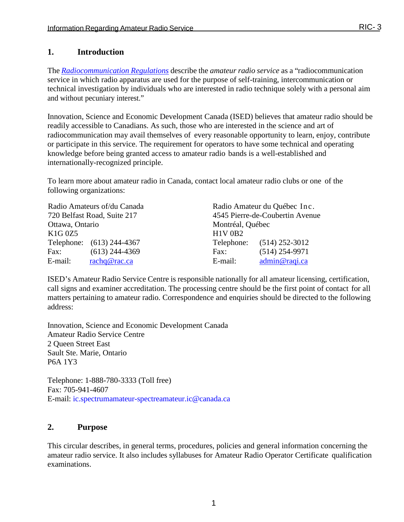## <span id="page-3-0"></span>**1. Introduction**

The *[Radiocommunication](http://laws-lois.justice.gc.ca/eng/regulations/sor-96-484/) Regulations* describe the *amateur radio service* as a "radiocommunication service in which radio apparatus are used for the purpose of self-training, intercommunication or technical investigation by individuals who are interested in radio technique solely with a personal aim and without pecuniary interest."

Innovation, Science and Economic Development Canada (ISED) believes that amateur radio should be readily accessible to Canadians. As such, those who are interested in the science and art of radiocommunication may avail themselves of every reasonable opportunity to learn, enjoy, contribute or participate in this service. The requirement for operators to have some technical and operating knowledge before being granted access to amateur radio bands is a well-established and internationally-recognized principle.

To learn more about amateur radio in Canada, contact local amateur radio clubs or one of the following organizations:

|                             | Radio Amateurs of/du Canada | Radio Amateur du Québec Inc.    |                           |  |
|-----------------------------|-----------------------------|---------------------------------|---------------------------|--|
| 720 Belfast Road, Suite 217 |                             | 4545 Pierre-de-Coubertin Avenue |                           |  |
| Ottawa, Ontario             |                             | Montréal, Québec                |                           |  |
| $K1G$ 0Z5                   |                             | <b>H1V 0B2</b>                  |                           |  |
| Telephone: (613) 244-4367   |                             |                                 | Telephone: (514) 252-3012 |  |
| Fax:                        | $(613)$ 244-4369            | Fax:                            | $(514)$ 254-9971          |  |
| E-mail:                     | rachq@rac.ca                | E-mail:                         | admin@raqi.ca             |  |

ISED's Amateur Radio Service Centre is responsible nationally for all amateur licensing, certification, call signs and examiner accreditation. The processing centre should be the first point of contact for all matters pertaining to amateur radio. Correspondence and enquiries should be directed to the following address:

Innovation, Science and Economic Development Canada Amateur Radio Service Centre 2 Queen Street East Sault Ste. Marie, Ontario P6A 1Y3

Telephone: 1-888-780-3333 (Toll free) Fax: 705-941-4607 E-mail: [ic.spectrumamateur-spectreamateur.ic@canada.ca](mailto:ail%20Address:%20ic.spectrumamateur-spectreamateur)

## <span id="page-3-1"></span>**2. Purpose**

This circular describes, in general terms, procedures, policies and general information concerning the amateur radio service. It also includes syllabuses for Amateur Radio Operator Certificate qualification examinations.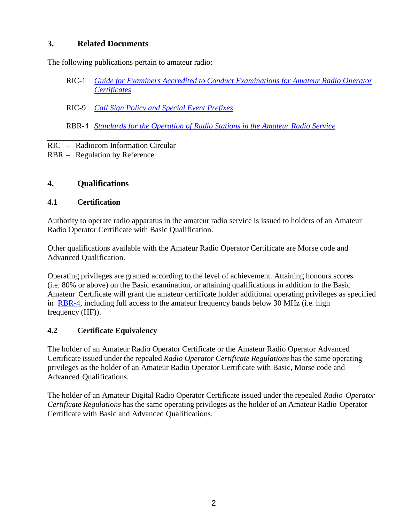## <span id="page-4-0"></span>**3. Related Documents**

The following publications pertain to amateur radio:

- RIC-1 *[Guide for Examiners Accredited to Conduct Examinations for Amateur Radio Operator](http://www.ic.gc.ca/eic/site/smt-gst.nsf/eng/sf01007.html)  [Certificates](http://www.ic.gc.ca/eic/site/smt-gst.nsf/eng/sf01007.html)*
- RIC-9 *[Call Sign Policy and Special Event Prefixes](http://www.ic.gc.ca/eic/site/smt-gst.nsf/eng/sf02102.html)*
- RBR-4 *[Standards for the Operation of Radio Stations in the Amateur Radio Service](http://www.ic.gc.ca/eic/site/smt-gst.nsf/eng/sf10650.html)*

RIC – Radiocom Information Circular

RBR – Regulation by Reference

## <span id="page-4-1"></span>**4. Qualifications**

#### <span id="page-4-2"></span>**4.1 Certification**

Authority to operate radio apparatus in the amateur radio service is issued to holders of an Amateur Radio Operator Certificate with Basic Qualification.

Other qualifications available with the Amateur Radio Operator Certificate are Morse code and Advanced Qualification.

Operating privileges are granted according to the level of achievement. Attaining honours scores (i.e. 80% or above) on the Basic examination, or attaining qualifications in addition to the Basic Amateur Certificate will grant the amateur certificate holder additional operating privileges as specified in [RBR-4,](http://www.ic.gc.ca/eic/site/smt-gst.nsf/eng/sf10650.html) including full access to the amateur frequency bands below 30 MHz (i.e. high frequency (HF)).

## <span id="page-4-3"></span>**4.2 Certificate Equivalency**

The holder of an Amateur Radio Operator Certificate or the Amateur Radio Operator Advanced Certificate issued under the repealed *Radio Operator Certificate Regulations* has the same operating privileges as the holder of an Amateur Radio Operator Certificate with Basic, Morse code and Advanced Qualifications.

The holder of an Amateur Digital Radio Operator Certificate issued under the repealed *Radio Operator Certificate Regulations* has the same operating privileges as the holder of an Amateur Radio Operator Certificate with Basic and Advanced Qualifications.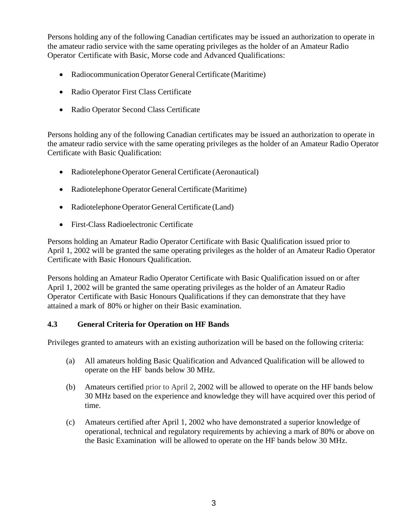Persons holding any of the following Canadian certificates may be issued an authorization to operate in the amateur radio service with the same operating privileges as the holder of an Amateur Radio Operator Certificate with Basic, Morse code and Advanced Qualifications:

- Radiocommunication Operator General Certificate (Maritime)
- Radio Operator First Class Certificate
- Radio Operator Second Class Certificate

Persons holding any of the following Canadian certificates may be issued an authorization to operate in the amateur radio service with the same operating privileges as the holder of an Amateur Radio Operator Certificate with Basic Qualification:

- Radiotelephone Operator General Certificate (Aeronautical)
- Radiotelephone Operator General Certificate (Maritime)
- Radiotelephone Operator General Certificate (Land)
- First-Class Radioelectronic Certificate

Persons holding an Amateur Radio Operator Certificate with Basic Qualification issued prior to April 1, 2002 will be granted the same operating privileges as the holder of an Amateur Radio Operator Certificate with Basic Honours Qualification.

Persons holding an Amateur Radio Operator Certificate with Basic Qualification issued on or after April 1, 2002 will be granted the same operating privileges as the holder of an Amateur Radio Operator Certificate with Basic Honours Qualifications if they can demonstrate that they have attained a mark of 80% or higher on their Basic examination.

## <span id="page-5-0"></span>**4.3 General Criteria for Operation on HF Bands**

Privileges granted to amateurs with an existing authorization will be based on the following criteria:

- (a) All amateurs holding Basic Qualification and Advanced Qualification will be allowed to operate on the HF bands below 30 MHz.
- (b) Amateurs certified prior to April 2, 2002 will be allowed to operate on the HF bands below 30 MHz based on the experience and knowledge they will have acquired over this period of time.
- (c) Amateurs certified after April 1, 2002 who have demonstrated a superior knowledge of operational, technical and regulatory requirements by achieving a mark of 80% or above on the Basic Examination will be allowed to operate on the HF bands below 30 MHz.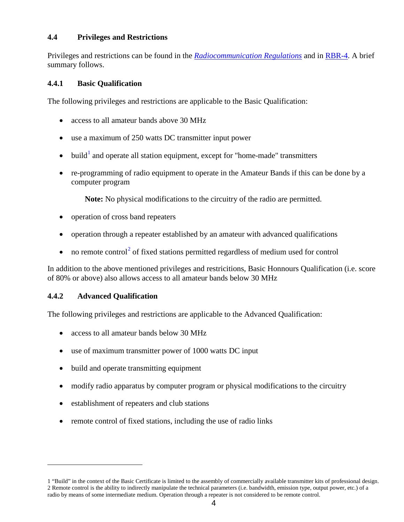#### <span id="page-6-0"></span>**4.4 Privileges and Restrictions**

Privileges and restrictions can be found in the *[Radiocommunication Regulations](http://laws-lois.justice.gc.ca/eng/regulations/sor-96-484/)* and in [RBR-4.](http://www.ic.gc.ca/eic/site/smt-gst.nsf/eng/sf10650.html) A brief summary follows.

#### **4.4.1 Basic Qualification**

The following privileges and restrictions are applicable to the Basic Qualification:

- access to all amateur bands above 30 MHz
- use a maximum of 250 watts DC transmitter input power
- build<sup>[1](#page-6-1)</sup> and operate all station equipment, except for "home-made" transmitters
- re-programming of radio equipment to operate in the Amateur Bands if this can be done by a computer program

**Note:** No physical modifications to the circuitry of the radio are permitted.

- operation of cross band repeaters
- operation through a repeater established by an amateur with advanced qualifications
- no remote control<sup>[2](#page-6-2)</sup> of fixed stations permitted regardless of medium used for control

In addition to the above mentioned privileges and restricitions, Basic Honnours Qualification (i.e. score of 80% or above) also allows access to all amateur bands below 30 MHz

#### **4.4.2 Advanced Qualification**

 $\overline{a}$ 

The following privileges and restrictions are applicable to the Advanced Qualification:

- access to all amateur bands below 30 MHz
- use of maximum transmitter power of 1000 watts DC input
- build and operate transmitting equipment
- modify radio apparatus by computer program or physical modifications to the circuitry
- establishment of repeaters and club stations
- remote control of fixed stations, including the use of radio links

<span id="page-6-2"></span><span id="page-6-1"></span><sup>1</sup> "Build" in the context of the Basic Certificate is limited to the assembly of commercially available transmitter kits of professional design. 2 Remote control is the ability to indirectly manipulate the technical parameters (i.e. bandwidth, emission type, output power, etc.) of a radio by means of some intermediate medium. Operation through a repeater is not considered to be remote control.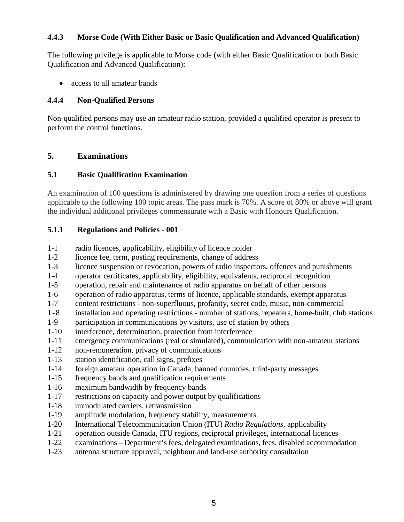#### **4.4.3 Morse Code (With Either Basic or Basic Qualification and Advanced Qualification)**

The following privilege is applicable to Morse code (with either Basic Qualification or both Basic Qualification and Advanced Qualification):

• access to all amateur bands

#### **4.4.4 Non-Qualified Persons**

Non-qualified persons may use an amateur radio station, provided a qualified operator is present to perform the control functions.

## <span id="page-7-0"></span>**5. Examinations**

#### <span id="page-7-1"></span>**5.1 Basic Qualification Examination**

An examination of 100 questions is administered by drawing one question from a series of questions applicable to the following 100 topic areas. The pass mark is 70%. A score of 80% or above will grant the individual additional privileges commensurate with a Basic with Honours Qualification.

#### **5.1.1 Regulations and Policies - 001**

- 1-1 radio licences, applicability, eligibility of licence holder
- 1-2 licence fee, term, posting requirements, change of address
- 1-3 licence suspension or revocation, powers of radio inspectors, offences and punishments
- 1-4 operator certificates, applicability, eligibility, equivalents, reciprocal recognition
- 1-5 operation, repair and maintenance of radio apparatus on behalf of other persons
- 1-6 operation of radio apparatus, terms of licence, applicable standards, exempt apparatus
- 1-7 content restrictions non-superfluous, profanity, secret code, music, non-commercial
- 1-8 installation and operating restrictions number of stations, repeaters, home-built, club stations
- 1-9 participation in communications by visitors, use of station by others
- 1-10 interference, determination, protection from interference
- 1-11 emergency communications (real or simulated), communication with non-amateur stations
- 1-12 non-remuneration, privacy of communications
- 1-13 station identification, call signs, prefixes
- 1-14 foreign amateur operation in Canada, banned countries, third-party messages
- 1-15 frequency bands and qualification requirements
- 1-16 maximum bandwidth by frequency bands
- 1-17 restrictions on capacity and power output by qualifications
- 1-18 unmodulated carriers, retransmission
- 1-19 amplitude modulation, frequency stability, measurements
- 1-20 International Telecommunication Union (ITU) *Radio Regulations*, applicability
- 1-21 operation outside Canada, ITU regions, reciprocal privileges, international licences
- 1-22 examinations Department's fees, delegated examinations, fees, disabled accommodation
- 1-23 antenna structure approval, neighbour and land-use authority consultation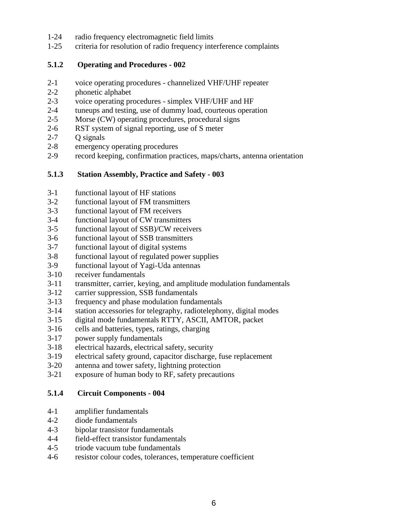- 1-24 radio frequency electromagnetic field limits
- 1-25 criteria for resolution of radio frequency interference complaints

#### **5.1.2 Operating and Procedures - 002**

- 2-1 voice operating procedures channelized VHF/UHF repeater
- 2-2 phonetic alphabet
- 2-3 voice operating procedures simplex VHF/UHF and HF
- 2-4 tuneups and testing, use of dummy load, courteous operation
- 2-5 Morse (CW) operating procedures, procedural signs
- 2-6 RST system of signal reporting, use of S meter
- 2-7 Q signals
- 2-8 emergency operating procedures
- 2-9 record keeping, confirmation practices, maps/charts, antenna orientation

#### **5.1.3 Station Assembly, Practice and Safety - 003**

- 3-1 functional layout of HF stations
- 3-2 functional layout of FM transmitters
- 3-3 functional layout of FM receivers
- 3-4 functional layout of CW transmitters
- 3-5 functional layout of SSB)/CW receivers
- 3-6 functional layout of SSB transmitters<br>3-7 functional layout of digital systems
- functional layout of digital systems
- 3-8 functional layout of regulated power supplies
- 3-9 functional layout of Yagi-Uda antennas
- 3-10 receiver fundamentals
- 3-11 transmitter, carrier, keying, and amplitude modulation fundamentals
- 3-12 carrier suppression, SSB fundamentals
- 3-13 frequency and phase modulation fundamentals
- 3-14 station accessories for telegraphy, radiotelephony, digital modes
- 3-15 digital mode fundamentals RTTY, ASCII, AMTOR, packet
- 3-16 cells and batteries, types, ratings, charging
- 3-17 power supply fundamentals
- 3-18 electrical hazards, electrical safety, security
- 3-19 electrical safety ground, capacitor discharge, fuse replacement
- 3-20 antenna and tower safety, lightning protection
- 3-21 exposure of human body to RF, safety precautions

#### **5.1.4 Circuit Components - 004**

- 4-1 amplifier fundamentals
- 4-2 diode fundamentals
- 4-3 bipolar transistor fundamentals
- 4-4 field-effect transistor fundamentals
- 4-5 triode vacuum tube fundamentals
- 4-6 resistor colour codes, tolerances, temperature coefficient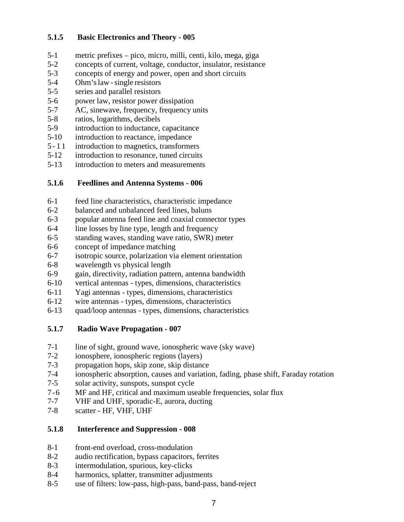## **5.1.5 Basic Electronics and Theory - 005**

- 5-1 metric prefixes pico, micro, milli, centi, kilo, mega, giga
- 5-2 concepts of current, voltage, conductor, insulator, resistance
- 5-3 concepts of energy and power, open and short circuits
- 5-4 Ohm'slaw -single resistors
- 5-5 series and parallel resistors
- 5-6 power law, resistor power dissipation
- 5-7 AC, sinewave, frequency, frequency units
- 5-8 ratios, logarithms, decibels
- 5-9 introduction to inductance, capacitance
- 5-10 introduction to reactance, impedance
- 5 1 1 introduction to magnetics, transformers
- 5-12 introduction to resonance, tuned circuits
- 5-13 introduction to meters and measurements

#### **5.1.6 Feedlines and Antenna Systems - 006**

- 6-1 feed line characteristics, characteristic impedance
- 6-2 balanced and unbalanced feed lines, baluns
- 6-3 popular antenna feed line and coaxial connector types
- 6-4 line losses by line type, length and frequency
- 6-5 standing waves, standing wave ratio, SWR) meter
- 6-6 concept of impedance matching
- 6-7 isotropic source, polarization via element orientation
- 6-8 wavelength vs physical length
- 6-9 gain, directivity, radiation pattern, antenna bandwidth
- 6-10 vertical antennas types, dimensions, characteristics
- 6-11 Yagi antennas types, dimensions, characteristics
- 6-12 wire antennas types, dimensions, characteristics
- 6-13 quad/loop antennas types, dimensions, characteristics

#### **5.1.7 Radio Wave Propagation - 007**

- 7-1 line of sight, ground wave, ionospheric wave (sky wave)
- 7-2 ionosphere, ionospheric regions (layers)
- 7-3 propagation hops, skip zone, skip distance
- 7-4 ionospheric absorption, causes and variation, fading, phase shift, Faraday rotation
- 7-5 solar activity, sunspots, sunspot cycle
- 7-6 MF and HF, critical and maximum useable frequencies, solar flux<br>7-7 VHF and UHF, sporadic-E, aurora, ducting
- 7-7 VHF and UHF, sporadic-E, aurora, ducting<br>7-8 scatter HF, VHF, UHF
- scatter HF, VHF, UHF

#### **5.1.8 Interference and Suppression - 008**

- 8-1 front-end overload, cross-modulation
- 8-2 audio rectification, bypass capacitors, ferrites
- 8-3 intermodulation, spurious, key-clicks
- 8-4 harmonics, splatter, transmitter adjustments
- 8-5 use of filters: low-pass, high-pass, band-pass, band-reject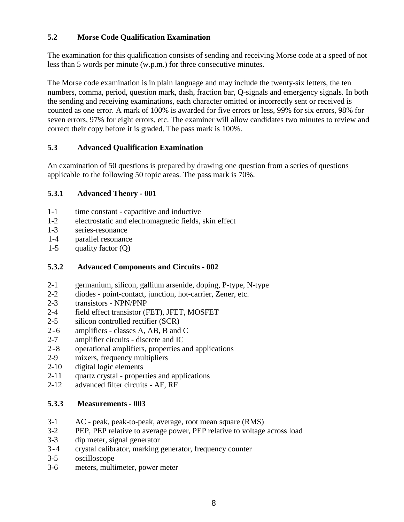## <span id="page-10-0"></span>**5.2 Morse Code Qualification Examination**

The examination for this qualification consists of sending and receiving Morse code at a speed of not less than 5 words per minute (w.p.m.) for three consecutive minutes.

The Morse code examination is in plain language and may include the twenty-six letters, the ten numbers, comma, period, question mark, dash, fraction bar, Q-signals and emergency signals. In both the sending and receiving examinations, each character omitted or incorrectly sent or received is counted as one error. A mark of 100% is awarded for five errors or less, 99% for six errors, 98% for seven errors, 97% for eight errors, etc. The examiner will allow candidates two minutes to review and correct their copy before it is graded. The pass mark is 100%.

#### <span id="page-10-1"></span>**5.3 Advanced Qualification Examination**

An examination of 50 questions is prepared by drawing one question from a series of questions applicable to the following 50 topic areas. The pass mark is 70%.

#### **5.3.1 Advanced Theory - 001**

- 1-1 time constant capacitive and inductive
- 1-2 electrostatic and electromagnetic fields, skin effect
- 1-3 series-resonance
- 1-4 parallel resonance
- 1-5 quality factor  $(Q)$

## **5.3.2 Advanced Components and Circuits - 002**

- 2-1 germanium, silicon, gallium arsenide, doping, P-type, N-type
- 2-2 diodes point-contact, junction, hot-carrier, Zener, etc.
- 2-3 transistors NPN/PNP
- 2-4 field effect transistor (FET), JFET, MOSFET
- 2-5 silicon controlled rectifier (SCR)
- 2-6 amplifiers classes A, AB, B and C
- 2-7 amplifier circuits discrete and IC
- 2-8 operational amplifiers, properties and applications
- 2-9 mixers, frequency multipliers
- 2-10 digital logic elements
- 2-11 quartz crystal properties and applications
- 2-12 advanced filter circuits AF, RF

#### **5.3.3 Measurements - 003**

- 3-1 AC peak, peak-to-peak, average, root mean square (RMS)
- 3-2 PEP, PEP relative to average power, PEP relative to voltage across load
- 3-3 dip meter, signal generator
- 3-4 crystal calibrator, marking generator, frequency counter
- 3-5 oscilloscope
- 3-6 meters, multimeter, power meter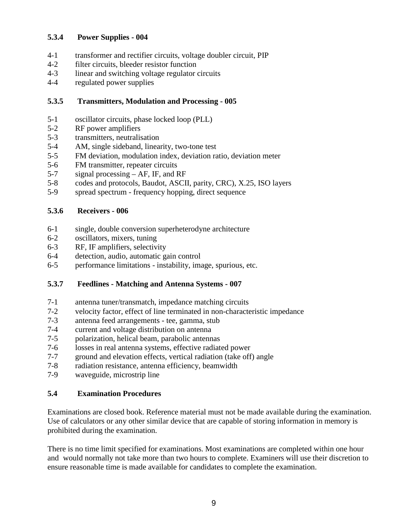## **5.3.4 Power Supplies - 004**

- 4-1 transformer and rectifier circuits, voltage doubler circuit, PIP
- 4-2 filter circuits, bleeder resistor function
- 4-3 linear and switching voltage regulator circuits
- 4-4 regulated power supplies

#### **5.3.5 Transmitters, Modulation and Processing - 005**

- 5-1 oscillator circuits, phase locked loop (PLL)
- 5-2 RF power amplifiers
- 5-3 transmitters, neutralisation
- 5-4 AM, single sideband, linearity, two-tone test
- 5-5 FM deviation, modulation index, deviation ratio, deviation meter
- 5-6 FM transmitter, repeater circuits
- 5-7 signal processing AF, IF, and RF
- 5-8 codes and protocols, Baudot, ASCII, parity, CRC), X.25, ISO layers
- 5-9 spread spectrum frequency hopping, direct sequence

#### **5.3.6 Receivers - 006**

- 6-1 single, double conversion superheterodyne architecture
- 6-2 oscillators, mixers, tuning
- 6-3 RF, IF amplifiers, selectivity
- 6-4 detection, audio, automatic gain control
- 6-5 performance limitations instability, image, spurious, etc.

#### **5.3.7 Feedlines - Matching and Antenna Systems - 007**

- 7-1 antenna tuner/transmatch, impedance matching circuits
- 7-2 velocity factor, effect of line terminated in non-characteristic impedance
- 7-3 antenna feed arrangements tee, gamma, stub
- 7-4 current and voltage distribution on antenna
- 7-5 polarization, helical beam, parabolic antennas
- 7-6 losses in real antenna systems, effective radiated power
- 7-7 ground and elevation effects, vertical radiation (take off) angle
- 7-8 radiation resistance, antenna efficiency, beamwidth
- 7-9 waveguide, microstrip line

#### <span id="page-11-0"></span>**5.4 Examination Procedures**

Examinations are closed book. Reference material must not be made available during the examination. Use of calculators or any other similar device that are capable of storing information in memory is prohibited during the examination.

There is no time limit specified for examinations. Most examinations are completed within one hour and would normally not take more than two hours to complete. Examiners will use their discretion to ensure reasonable time is made available for candidates to complete the examination.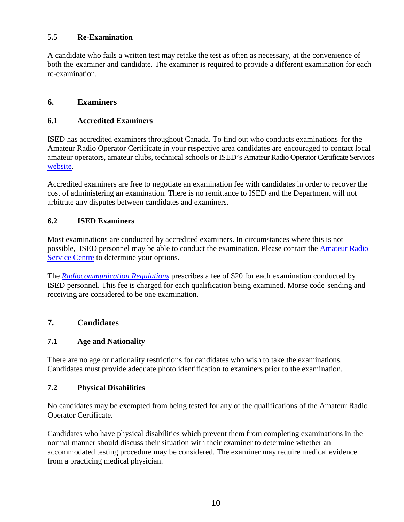## <span id="page-12-0"></span>**5.5 Re-Examination**

A candidate who fails a written test may retake the test as often as necessary, at the convenience of both the examiner and candidate. The examiner is required to provide a different examination for each re-examination.

## <span id="page-12-1"></span>**6. Examiners**

#### <span id="page-12-2"></span>**6.1 Accredited Examiners**

ISED has accredited examiners throughout Canada. To find out who conducts examinations for the Amateur Radio Operator Certificate in your respective area candidates are encouraged to contact local amateur operators, amateur clubs, technical schools or ISED's Amateur Radio Operator Certificate Services [website.](http://www.ic.gc.ca/callsign)

Accredited examiners are free to negotiate an examination fee with candidates in order to recover the cost of administering an examination. There is no remittance to ISED and the Department will not arbitrate any disputes between candidates and examiners.

#### <span id="page-12-3"></span>**6.2 ISED Examiners**

Most examinations are conducted by accredited examiners. In circumstances where this is not possible, ISED personnel may be able to conduct the examination. Please contact the [Amateur](http://www.ic.gc.ca/eic/site/smt-gst.nsf/eng/sf01862.html#servicecentre) Radio [Service Centre](http://www.ic.gc.ca/eic/site/smt-gst.nsf/eng/sf01862.html#servicecentre) to determine your options.

The *[Radiocommunication Regulations](http://laws-lois.justice.gc.ca/eng/regulations/sor-96-484/)* prescribes a fee of \$20 for each examination conducted by ISED personnel. This fee is charged for each qualification being examined. Morse code sending and receiving are considered to be one examination.

## <span id="page-12-4"></span>**7. Candidates**

#### <span id="page-12-5"></span>**7.1 Age and Nationality**

There are no age or nationality restrictions for candidates who wish to take the examinations. Candidates must provide adequate photo identification to examiners prior to the examination.

#### <span id="page-12-6"></span>**7.2 Physical Disabilities**

No candidates may be exempted from being tested for any of the qualifications of the Amateur Radio Operator Certificate.

Candidates who have physical disabilities which prevent them from completing examinations in the normal manner should discuss their situation with their examiner to determine whether an accommodated testing procedure may be considered. The examiner may require medical evidence from a practicing medical physician.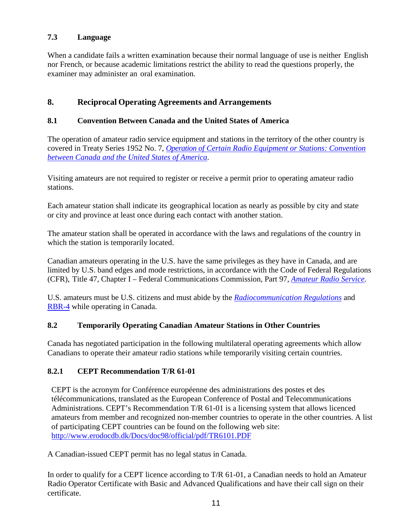## <span id="page-13-0"></span>**7.3 Language**

When a candidate fails a written examination because their normal language of use is neither English nor French, or because academic limitations restrict the ability to read the questions properly, the examiner may administer an oral examination.

## <span id="page-13-1"></span>**8. Reciprocal Operating Agreements and Arrangements**

#### <span id="page-13-2"></span>**8.1 Convention Between Canada and the United States of America**

The operation of amateur radio service equipment and stations in the territory of the other country is covered in Treaty Series 1952 No. 7, *Operation of Certain [Radio Equipment](https://www.ic.gc.ca/eic/site/smt-gst.nsf/vwapj/1952-7E.PDF/$FILE/1952-7E.PDF) or Stations: Convention [between Canada and the United States of America](https://www.ic.gc.ca/eic/site/smt-gst.nsf/vwapj/1952-7E.PDF/$FILE/1952-7E.PDF)*.

Visiting amateurs are not required to register or receive a permit prior to operating amateur radio stations.

Each amateur station shall indicate its geographical location as nearly as possible by city and state or city and province at least once during each contact with another station.

The amateur station shall be operated in accordance with the laws and regulations of the country in which the station is temporarily located.

Canadian amateurs operating in the U.S. have the same privileges as they have in Canada, and are limited by U.S. band edges and mode restrictions, in accordance with the Code of Federal Regulations (CFR), Title 47, Chapter I – Federal Communications Commission, Part 97, *[Amateur Radio Service.](http://www.ecfr.gov/cgi-bin/text-idx?SID=939da7b802e216a466faa1539f43c258&mc=true&tpl=/ecfrbrowse/Title47/47cfr97_main_02.tpl)*

U.S. amateurs must be U.S. citizens and must abide by the *[Radiocommunication Regulations](http://laws-lois.justice.gc.ca/eng/regulations/sor-96-484/)* and [RBR-4](http://www.ic.gc.ca/eic/site/smt-gst.nsf/eng/sf01226.html) while operating in Canada.

#### <span id="page-13-3"></span>**8.2 Temporarily Operating Canadian Amateur Stations in Other Countries**

Canada has negotiated participation in the following multilateral operating agreements which allow Canadians to operate their amateur radio stations while temporarily visiting certain countries.

#### **8.2.1 CEPT Recommendation T/R 61-01**

CEPT is the acronym for Conférence européenne des administrations des postes et des télécommunications, translated as the European Conference of Postal and Telecommunications Administrations. CEPT's Recommendation T/R 61-01 is a licensing system that allows licenced amateurs from member and recognized non-member countries to operate in the other countries. A list of participating CEPT countries can be found on the following web site: <http://www.erodocdb.dk/Docs/doc98/official/pdf/TR6101.PDF>

A Canadian-issued CEPT permit has no legal status in Canada.

In order to qualify for a CEPT licence according to T/R 61-01, a Canadian needs to hold an Amateur Radio Operator Certificate with Basic and Advanced Qualifications and have their call sign on their certificate.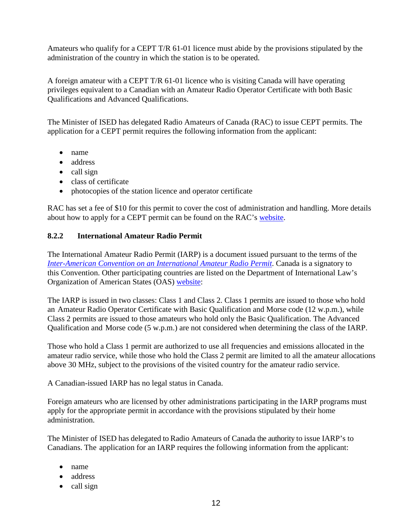Amateurs who qualify for a CEPT T/R 61-01 licence must abide by the provisions stipulated by the administration of the country in which the station is to be operated.

A foreign amateur with a CEPT T/R 61-01 licence who is visiting Canada will have operating privileges equivalent to a Canadian with an Amateur Radio Operator Certificate with both Basic Qualifications and Advanced Qualifications.

The Minister of ISED has delegated Radio Amateurs of Canada (RAC) to issue CEPT permits. The application for a CEPT permit requires the following information from the applicant:

- name
- address
- call sign
- class of certificate
- photocopies of the station licence and operator certificate

RAC has set a fee of \$10 for this permit to cover the cost of administration and handling. More details about how to apply for a CEPT permit can be found on the RAC's [website.](http://www.rac.ca/)

## **8.2.2 International Amateur Radio Permit**

The International Amateur Radio Permit (IARP) is a document issued pursuant to the terms of the *[Inter-American Convention on an International Amateur Radio Permit](http://www.oas.org/juridico/english/treaties/a-62.html)*. Canada is a signatory to this Convention. Other participating countries are listed on the Department of International Law's Organization of American States (OAS) [website:](http://www.oas.org/juridico/english/sigs/a-62.html)

The IARP is issued in two classes: Class 1 and Class 2. Class 1 permits are issued to those who hold an Amateur Radio Operator Certificate with Basic Qualification and Morse code (12 w.p.m.), while Class 2 permits are issued to those amateurs who hold only the Basic Qualification. The Advanced Qualification and Morse code (5 w.p.m.) are not considered when determining the class of the IARP.

Those who hold a Class 1 permit are authorized to use all frequencies and emissions allocated in the amateur radio service, while those who hold the Class 2 permit are limited to all the amateur allocations above 30 MHz, subject to the provisions of the visited country for the amateur radio service.

A Canadian-issued IARP has no legal status in Canada.

Foreign amateurs who are licensed by other administrations participating in the IARP programs must apply for the appropriate permit in accordance with the provisions stipulated by their home administration.

The Minister of ISED has delegated to Radio Amateurs of Canada the authority to issue IARP's to Canadians. The application for an IARP requires the following information from the applicant:

- name
- address
- call sign